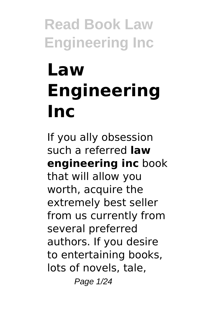# **Law Engineering Inc**

If you ally obsession such a referred **law engineering inc** book that will allow you worth, acquire the extremely best seller from us currently from several preferred authors. If you desire to entertaining books, lots of novels, tale, Page 1/24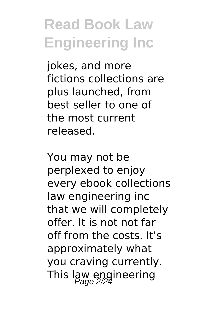jokes, and more fictions collections are plus launched, from best seller to one of the most current released.

You may not be perplexed to enjoy every ebook collections law engineering inc that we will completely offer. It is not not far off from the costs. It's approximately what you craving currently. This law engineering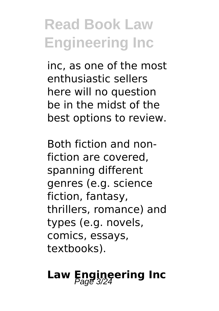inc, as one of the most enthusiastic sellers here will no question be in the midst of the best options to review.

Both fiction and nonfiction are covered, spanning different genres (e.g. science fiction, fantasy, thrillers, romance) and types (e.g. novels, comics, essays, textbooks).

# **Law Engineering Inc**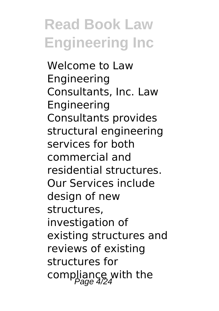Welcome to Law Engineering Consultants, Inc. Law Engineering Consultants provides structural engineering services for both commercial and residential structures. Our Services include design of new structures, investigation of existing structures and reviews of existing structures for compliance with the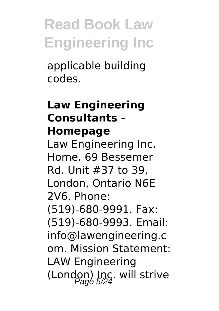applicable building codes.

### **Law Engineering Consultants - Homepage**

Law Engineering Inc. Home. 69 Bessemer Rd. Unit #37 to 39, London, Ontario N6E 2V6. Phone: (519)-680-9991. Fax: (519)-680-9993. Email: info@lawengineering.c om. Mission Statement: LAW Engineering (London) Inc. will strive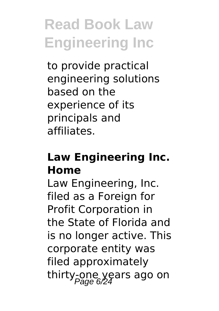to provide practical engineering solutions based on the experience of its principals and affiliates.

## **Law Engineering Inc. Home**

Law Engineering, Inc. filed as a Foreign for Profit Corporation in the State of Florida and is no longer active. This corporate entity was filed approximately thirty-one years ago on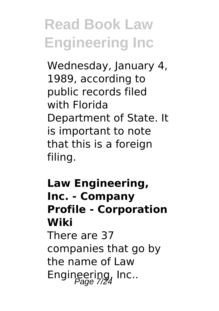Wednesday, January 4, 1989, according to public records filed with Florida Department of State. It is important to note that this is a foreign filing.

**Law Engineering, Inc. - Company Profile - Corporation Wiki** There are 37 companies that go by the name of Law Engineering, Inc..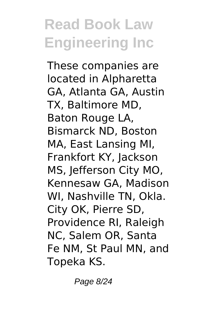These companies are located in Alpharetta GA, Atlanta GA, Austin TX, Baltimore MD, Baton Rouge LA, Bismarck ND, Boston MA, East Lansing MI, Frankfort KY, Jackson MS, Jefferson City MO, Kennesaw GA, Madison WI, Nashville TN, Okla. City OK, Pierre SD, Providence RI, Raleigh NC, Salem OR, Santa Fe NM, St Paul MN, and Topeka KS.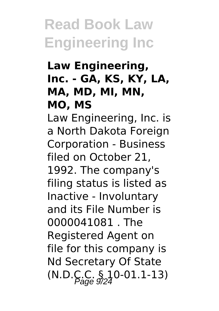## **Law Engineering, Inc. - GA, KS, KY, LA, MA, MD, MI, MN, MO, MS**

Law Engineering, Inc. is a North Dakota Foreign Corporation - Business filed on October 21, 1992. The company's filing status is listed as Inactive - Involuntary and its File Number is 0000041081 . The Registered Agent on file for this company is Nd Secretary Of State  $(N.D.C.C. § 10-01.1-13)$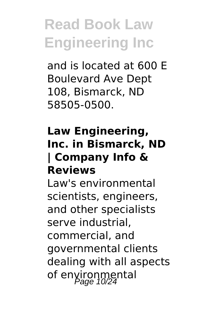and is located at 600 E Boulevard Ave Dept 108, Bismarck, ND 58505-0500.

### **Law Engineering, Inc. in Bismarck, ND | Company Info & Reviews**

Law's environmental scientists, engineers, and other specialists serve industrial, commercial, and governmental clients dealing with all aspects of environmental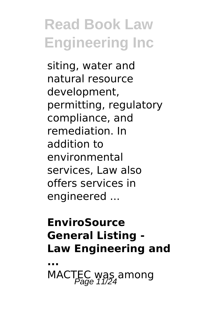siting, water and natural resource development, permitting, regulatory compliance, and remediation. In addition to environmental services, Law also offers services in engineered ...

## **EnviroSource General Listing - Law Engineering and**

**...**

MACTEC was among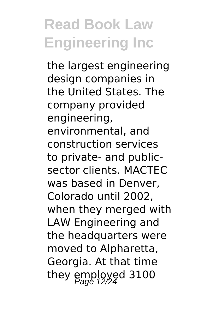the largest engineering design companies in the United States. The company provided engineering, environmental, and construction services to private- and publicsector clients. MACTEC was based in Denver, Colorado until 2002, when they merged with LAW Engineering and the headquarters were moved to Alpharetta, Georgia. At that time they  $\frac{mplq}{2}$  3100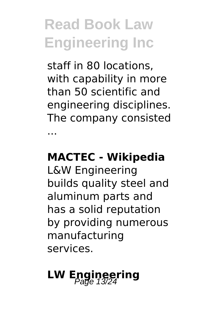staff in 80 locations, with capability in more than 50 scientific and engineering disciplines. The company consisted ...

### **MACTEC - Wikipedia**

L&W Engineering builds quality steel and aluminum parts and has a solid reputation by providing numerous manufacturing services.

# **LW Engineering**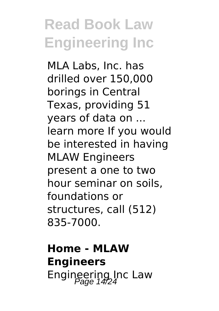MLA Labs, Inc. has drilled over 150,000 borings in Central Texas, providing 51 years of data on ... learn more If you would be interested in having MLAW Engineers present a one to two hour seminar on soils, foundations or structures, call (512) 835-7000.

## **Home - MLAW Engineers** Engineering Inc Law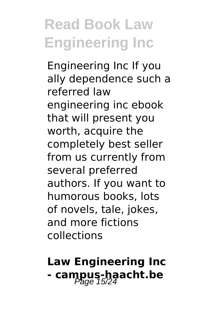Engineering Inc If you ally dependence such a referred law engineering inc ebook that will present you worth, acquire the completely best seller from us currently from several preferred authors. If you want to humorous books, lots of novels, tale, jokes, and more fictions collections

## **Law Engineering Inc** - campus-haacht.be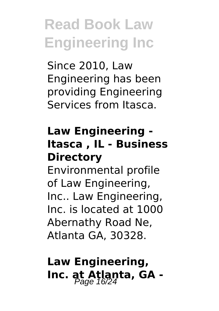Since 2010, Law Engineering has been providing Engineering Services from Itasca.

## **Law Engineering - Itasca , IL - Business Directory**

Environmental profile of Law Engineering, Inc.. Law Engineering, Inc. is located at 1000 Abernathy Road Ne, Atlanta GA, 30328.

## **Law Engineering, Inc. at Atlanta, GA -**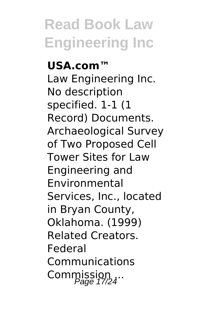**USA.com™** Law Engineering Inc. No description specified. 1-1 (1 Record) Documents. Archaeological Survey of Two Proposed Cell Tower Sites for Law Engineering and Environmental Services, Inc., located in Bryan County, Oklahoma. (1999) Related Creators. Federal Communications Commission ...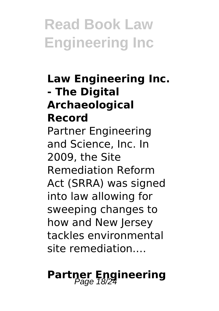## **Law Engineering Inc. - The Digital Archaeological Record** Partner Engineering and Science, Inc. In 2009, the Site Remediation Reform Act (SRRA) was signed into law allowing for sweeping changes to how and New Jersey tackles environmental site remediation.…

# **Partner Engineering**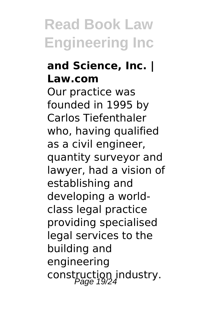## **and Science, Inc. | Law.com**

Our practice was founded in 1995 by Carlos Tiefenthaler who, having qualified as a civil engineer, quantity surveyor and lawyer, had a vision of establishing and developing a worldclass legal practice providing specialised legal services to the building and engineering construction industry.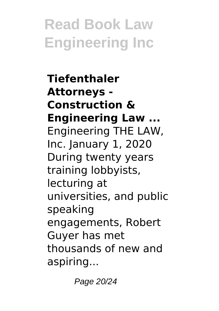**Tiefenthaler Attorneys - Construction & Engineering Law ...** Engineering THE LAW, Inc. January 1, 2020 During twenty years training lobbyists, lecturing at universities, and public speaking engagements, Robert Guyer has met thousands of new and aspiring...

Page 20/24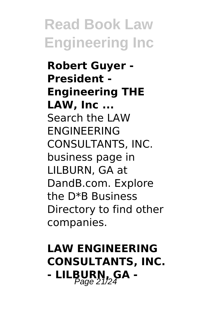**Robert Guyer - President - Engineering THE LAW, Inc ...** Search the LAW ENGINEERING CONSULTANTS, INC. business page in LILBURN, GA at DandB.com. Explore the D\*B Business Directory to find other companies.

## **LAW ENGINEERING CONSULTANTS, INC. - LILBURN, GA -** Page 21/24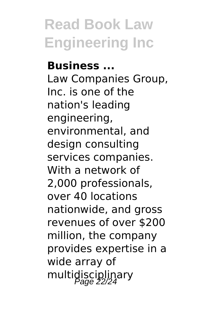**Business ...** Law Companies Group, Inc. is one of the nation's leading engineering, environmental, and design consulting services companies. With a network of 2,000 professionals, over 40 locations nationwide, and gross revenues of over \$200 million, the company provides expertise in a wide array of multidisciplinary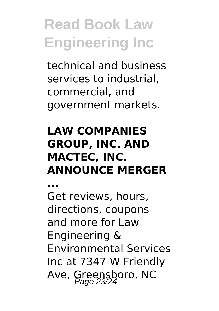technical and business services to industrial, commercial, and government markets.

## **LAW COMPANIES GROUP, INC. AND MACTEC, INC. ANNOUNCE MERGER**

**...**

Get reviews, hours, directions, coupons and more for Law Engineering & Environmental Services Inc at 7347 W Friendly Ave, Greensboro, NC